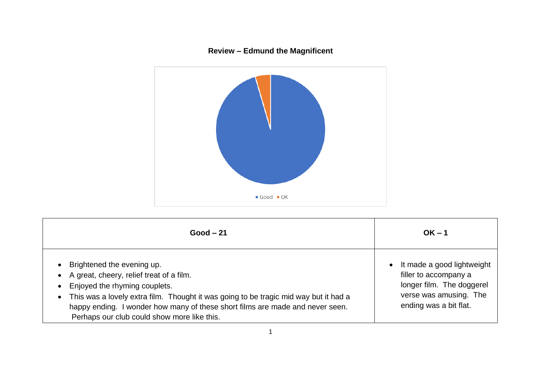## **Review – Edmund the Magnificent**



| $Good - 21$                                                                                                                                                                                                                                                                                                                                                 | $OK - 1$                                                                                                                                          |
|-------------------------------------------------------------------------------------------------------------------------------------------------------------------------------------------------------------------------------------------------------------------------------------------------------------------------------------------------------------|---------------------------------------------------------------------------------------------------------------------------------------------------|
| Brightened the evening up.<br>$\bullet$<br>A great, cheery, relief treat of a film.<br>Enjoyed the rhyming couplets.<br>$\bullet$<br>• This was a lovely extra film. Thought it was going to be tragic mid way but it had a<br>happy ending. I wonder how many of these short films are made and never seen.<br>Perhaps our club could show more like this. | It made a good lightweight<br>$\bullet$<br>filler to accompany a<br>longer film. The doggerel<br>verse was amusing. The<br>ending was a bit flat. |